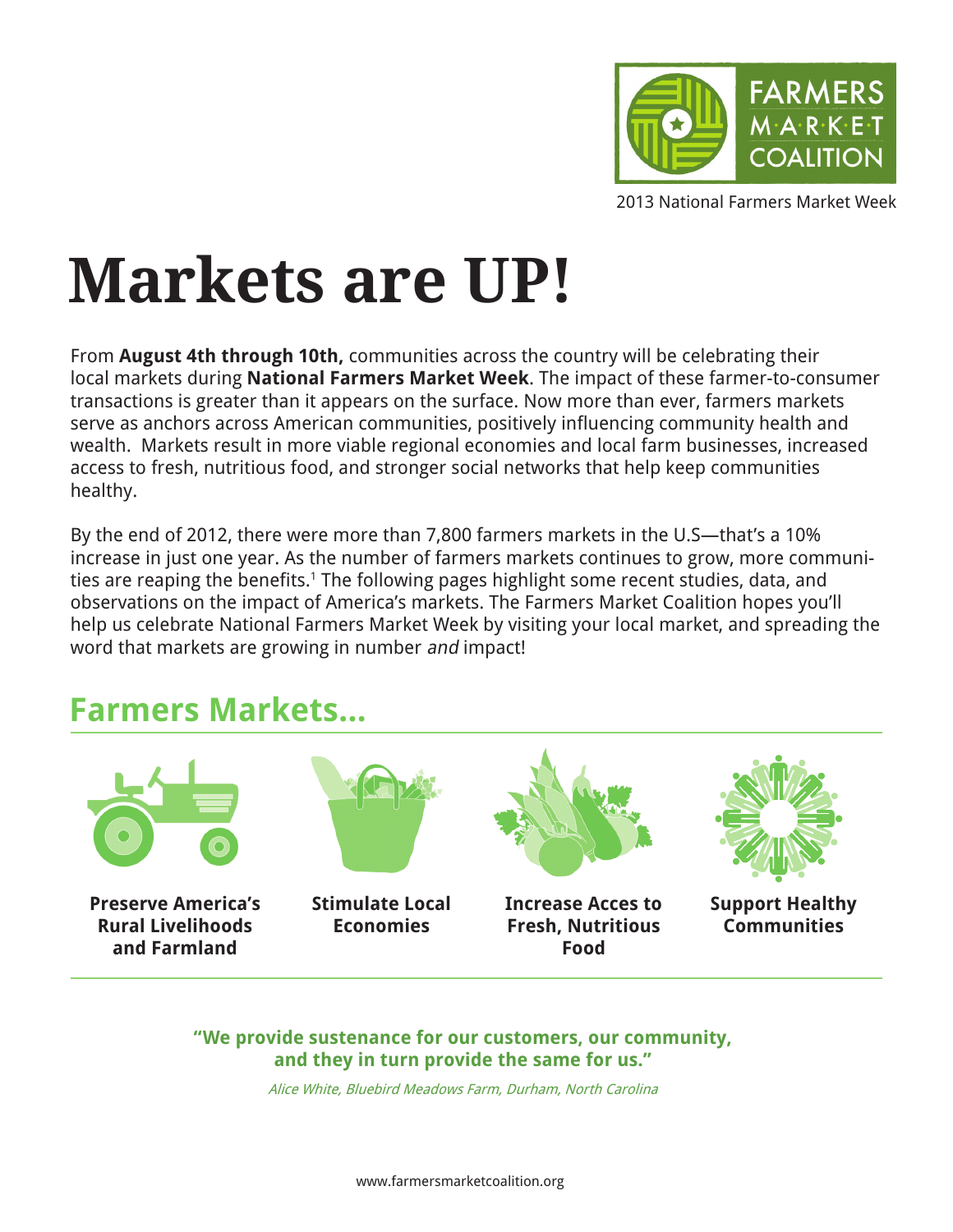

2013 National Farmers Market Week

# **Markets are UP!**

From **August 4th through 10th,** communities across the country will be celebrating their local markets during **National Farmers Market Week**. The impact of these farmer-to-consumer transactions is greater than it appears on the surface. Now more than ever, farmers markets serve as anchors across American communities, positively influencing community health and wealth. Markets result in more viable regional economies and local farm businesses, increased access to fresh, nutritious food, and stronger social networks that help keep communities healthy.

By the end of 2012, there were more than 7,800 farmers markets in the U.S—that's a 10% increase in just one year. As the number of farmers markets continues to grow, more communities are reaping the benefits.<sup>1</sup> The following pages highlight some recent studies, data, and observations on the impact of America's markets. The Farmers Market Coalition hopes you'll help us celebrate National Farmers Market Week by visiting your local market, and spreading the word that markets are growing in number and impact!

#### **Farmers Markets...**



**"We provide sustenance for our customers, our community, and they in turn provide the same for us."**

Alice White, Bluebird Meadows Farm, Durham, North Carolina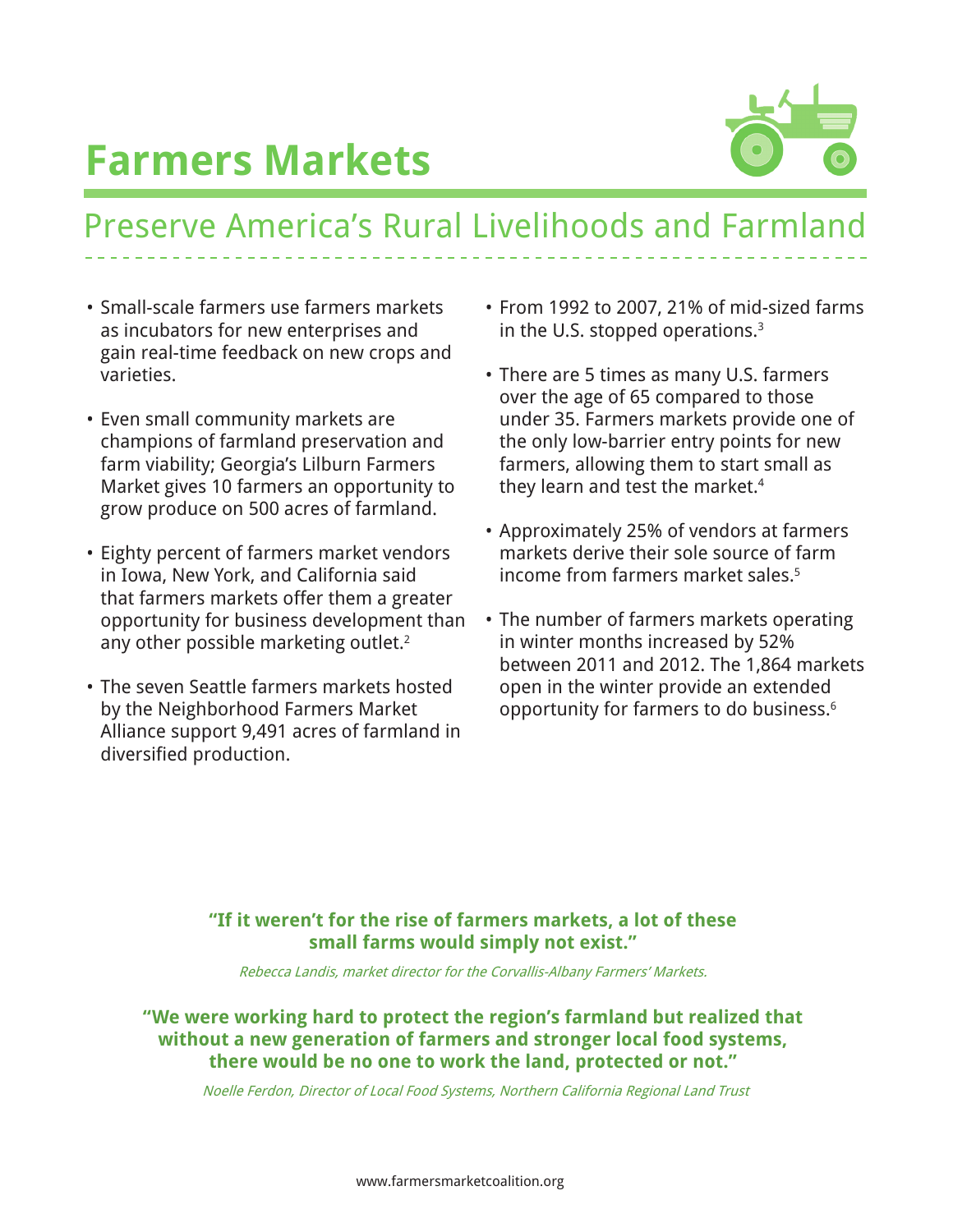

### Preserve America's Rural Livelihoods and Farmland

- • Small-scale farmers use farmers markets as incubators for new enterprises and gain real-time feedback on new crops and varieties.
- Even small community markets are champions of farmland preservation and farm viability; Georgia's Lilburn Farmers Market gives 10 farmers an opportunity to grow produce on 500 acres of farmland.
- Eighty percent of farmers market vendors in Iowa, New York, and California said that farmers markets offer them a greater opportunity for business development than any other possible marketing outlet.<sup>2</sup>
- The seven Seattle farmers markets hosted by the Neighborhood Farmers Market Alliance support 9,491 acres of farmland in diversified production.
- • From 1992 to 2007, 21% of mid-sized farms in the U.S. stopped operations. $3$
- There are 5 times as many U.S. farmers over the age of 65 compared to those under 35. Farmers markets provide one of the only low-barrier entry points for new farmers, allowing them to start small as they learn and test the market.4
- • Approximately 25% of vendors at farmers markets derive their sole source of farm income from farmers market sales.<sup>5</sup>
- The number of farmers markets operating in winter months increased by 52% between 2011 and 2012. The 1,864 markets open in the winter provide an extended opportunity for farmers to do business.6

#### **"If it weren't for the rise of farmers markets, a lot of these small farms would simply not exist."**

Rebecca Landis, market director for the Corvallis-Albany Farmers' Markets.

#### **"We were working hard to protect the region's farmland but realized that without a new generation of farmers and stronger local food systems, there would be no one to work the land, protected or not."**

Noelle Ferdon, Director of Local Food Systems, Northern California Regional Land Trust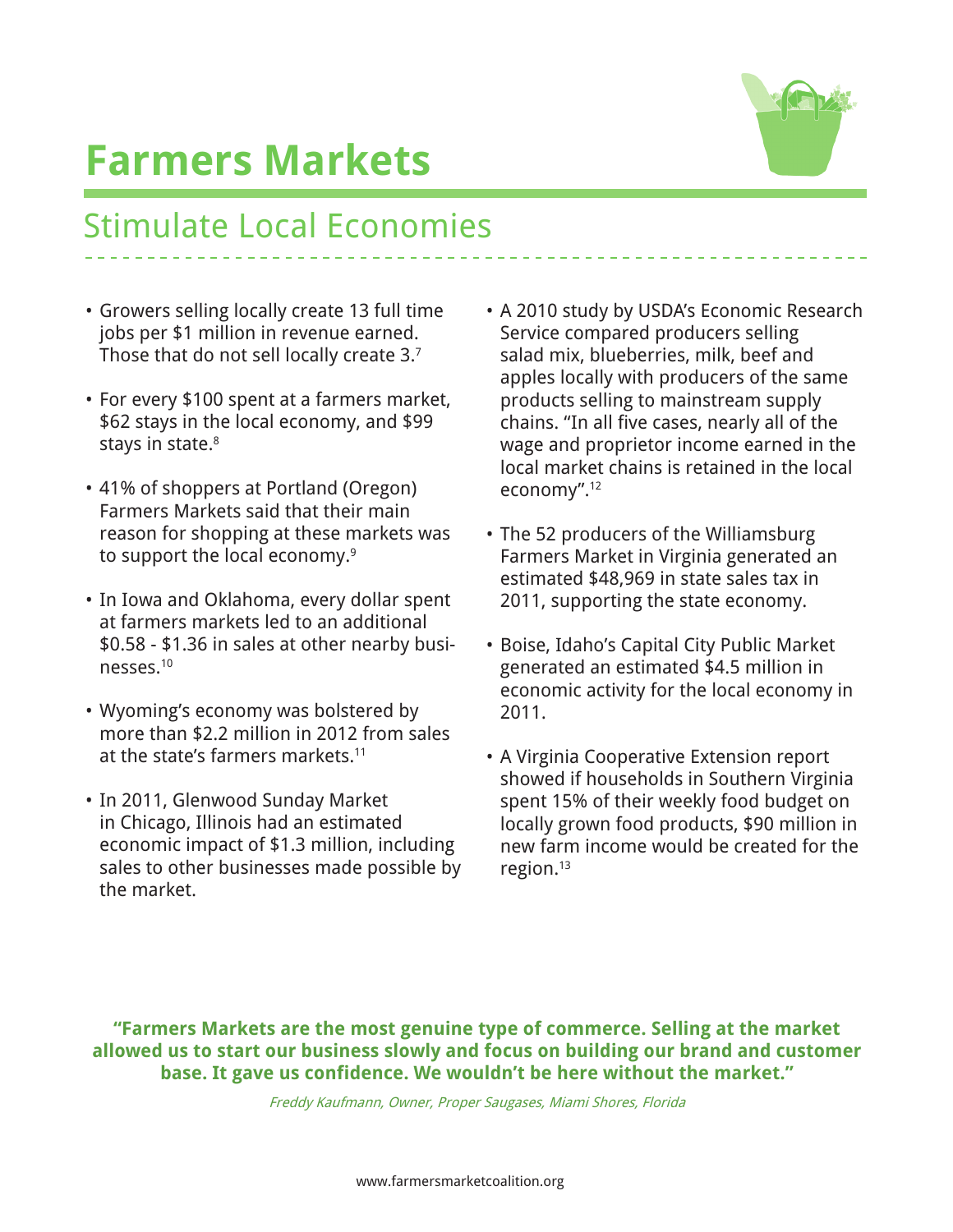

### Stimulate Local Economies

- • Growers selling locally create 13 full time jobs per \$1 million in revenue earned. Those that do not sell locally create 3.7
- For every \$100 spent at a farmers market, \$62 stays in the local economy, and \$99 stays in state.<sup>8</sup>
- 41% of shoppers at Portland (Oregon) Farmers Markets said that their main reason for shopping at these markets was to support the local economy.<sup>9</sup>
- In Iowa and Oklahoma, every dollar spent at farmers markets led to an additional \$0.58 - \$1.36 in sales at other nearby businesses.10
- • Wyoming's economy was bolstered by more than \$2.2 million in 2012 from sales at the state's farmers markets.11
- In 2011, Glenwood Sunday Market in Chicago, Illinois had an estimated economic impact of \$1.3 million, including sales to other businesses made possible by the market.
- A 2010 study by USDA's Economic Research Service compared producers selling salad mix, blueberries, milk, beef and apples locally with producers of the same products selling to mainstream supply chains. "In all five cases, nearly all of the wage and proprietor income earned in the local market chains is retained in the local economy".12
- The 52 producers of the Williamsburg Farmers Market in Virginia generated an estimated \$48,969 in state sales tax in 2011, supporting the state economy.
- • Boise, Idaho's Capital City Public Market generated an estimated \$4.5 million in economic activity for the local economy in 2011.
- A Virginia Cooperative Extension report showed if households in Southern Virginia spent 15% of their weekly food budget on locally grown food products, \$90 million in new farm income would be created for the region.13

**"Farmers Markets are the most genuine type of commerce. Selling at the market allowed us to start our business slowly and focus on building our brand and customer base. It gave us confidence. We wouldn't be here without the market."**

Freddy Kaufmann, Owner, Proper Saugases, Miami Shores, Florida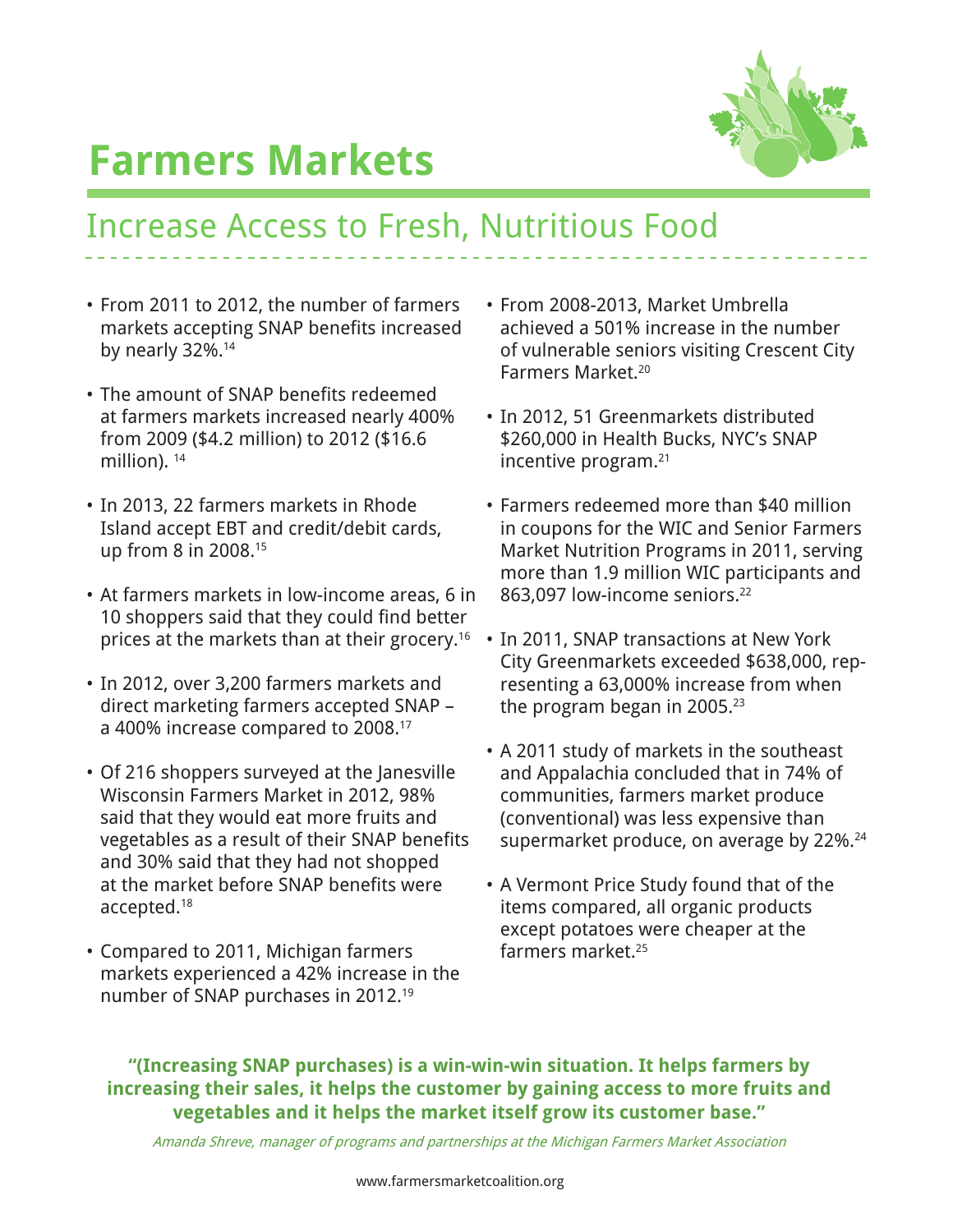

### Increase Access to Fresh, Nutritious Food

- • From 2011 to 2012, the number of farmers markets accepting SNAP benefits increased by nearly 32%.<sup>14</sup>
- The amount of SNAP benefits redeemed at farmers markets increased nearly 400% from 2009 (\$4.2 million) to 2012 (\$16.6 million).<sup>14</sup>
- • In 2013, 22 farmers markets in Rhode Island accept EBT and credit/debit cards, up from 8 in 2008.15
- • At farmers markets in low-income areas, 6 in 10 shoppers said that they could find better prices at the markets than at their grocery.16
- • In 2012, over 3,200 farmers markets and direct marketing farmers accepted SNAP – a 400% increase compared to 2008.17
- Of 216 shoppers surveyed at the Janesville Wisconsin Farmers Market in 2012, 98% said that they would eat more fruits and vegetables as a result of their SNAP benefits and 30% said that they had not shopped at the market before SNAP benefits were accepted.18
- • Compared to 2011, Michigan farmers markets experienced a 42% increase in the number of SNAP purchases in 2012.19
- • From 2008-2013, Market Umbrella achieved a 501% increase in the number of vulnerable seniors visiting Crescent City Farmers Market.20
- In 2012, 51 Greenmarkets distributed \$260,000 in Health Bucks, NYC's SNAP incentive program.21
- Farmers redeemed more than \$40 million in coupons for the WIC and Senior Farmers Market Nutrition Programs in 2011, serving more than 1.9 million WIC participants and 863,097 low-income seniors.<sup>22</sup>
- In 2011, SNAP transactions at New York City Greenmarkets exceeded \$638,000, representing a 63,000% increase from when the program began in 2005. $23$
- • A 2011 study of markets in the southeast and Appalachia concluded that in 74% of communities, farmers market produce (conventional) was less expensive than supermarket produce, on average by 22%.<sup>24</sup>
- • A Vermont Price Study found that of the items compared, all organic products except potatoes were cheaper at the farmers market.<sup>25</sup>

#### **"(Increasing SNAP purchases) is a win-win-win situation. It helps farmers by increasing their sales, it helps the customer by gaining access to more fruits and vegetables and it helps the market itself grow its customer base."**

Amanda Shreve, manager of programs and partnerships at the Michigan Farmers Market Association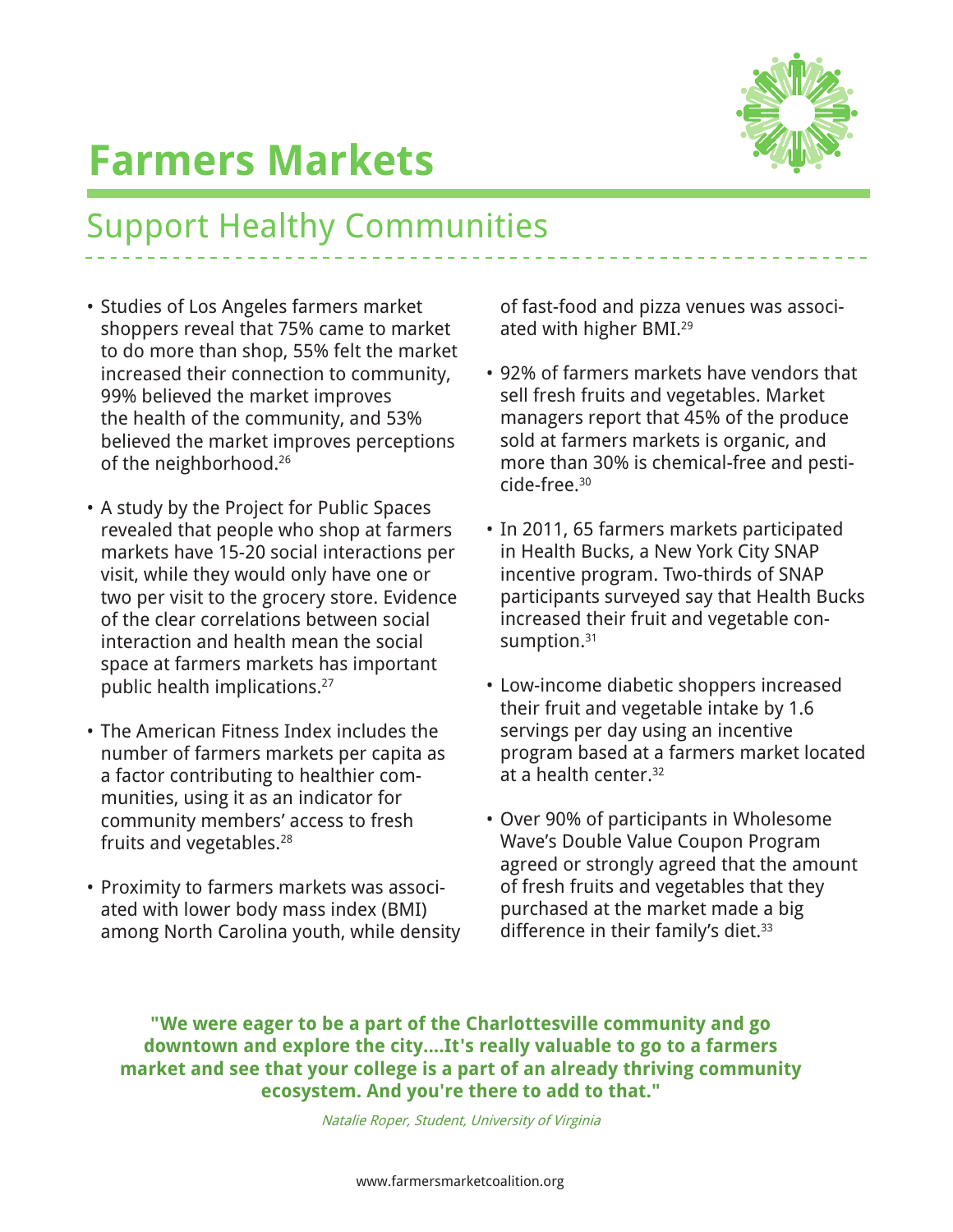

### Support Healthy Communities

- • Studies of Los Angeles farmers market shoppers reveal that 75% came to market to do more than shop, 55% felt the market increased their connection to community, 99% believed the market improves the health of the community, and 53% believed the market improves perceptions of the neighborhood.<sup>26</sup>
- A study by the Project for Public Spaces revealed that people who shop at farmers markets have 15-20 social interactions per visit, while they would only have one or two per visit to the grocery store. Evidence of the clear correlations between social interaction and health mean the social space at farmers markets has important public health implications.<sup>27</sup>
- The American Fitness Index includes the number of farmers markets per capita as a factor contributing to healthier communities, using it as an indicator for community members' access to fresh fruits and vegetables.<sup>28</sup>
- Proximity to farmers markets was associated with lower body mass index (BMI) among North Carolina youth, while density

of fast-food and pizza venues was associated with higher BMI.29

- • 92% of farmers markets have vendors that sell fresh fruits and vegetables. Market managers report that 45% of the produce sold at farmers markets is organic, and more than 30% is chemical-free and pesticide-free.30
- In 2011, 65 farmers markets participated in Health Bucks, a New York City SNAP incentive program. Two-thirds of SNAP participants surveyed say that Health Bucks increased their fruit and vegetable consumption.<sup>31</sup>
- • Low-income diabetic shoppers increased their fruit and vegetable intake by 1.6 servings per day using an incentive program based at a farmers market located at a health center.32
- • Over 90% of participants in Wholesome Wave's Double Value Coupon Program agreed or strongly agreed that the amount of fresh fruits and vegetables that they purchased at the market made a big difference in their family's diet.<sup>33</sup>

**"We were eager to be a part of the Charlottesville community and go downtown and explore the city....It's really valuable to go to a farmers market and see that your college is a part of an already thriving community ecosystem. And you're there to add to that."**

Natalie Roper, Student, University of Virginia